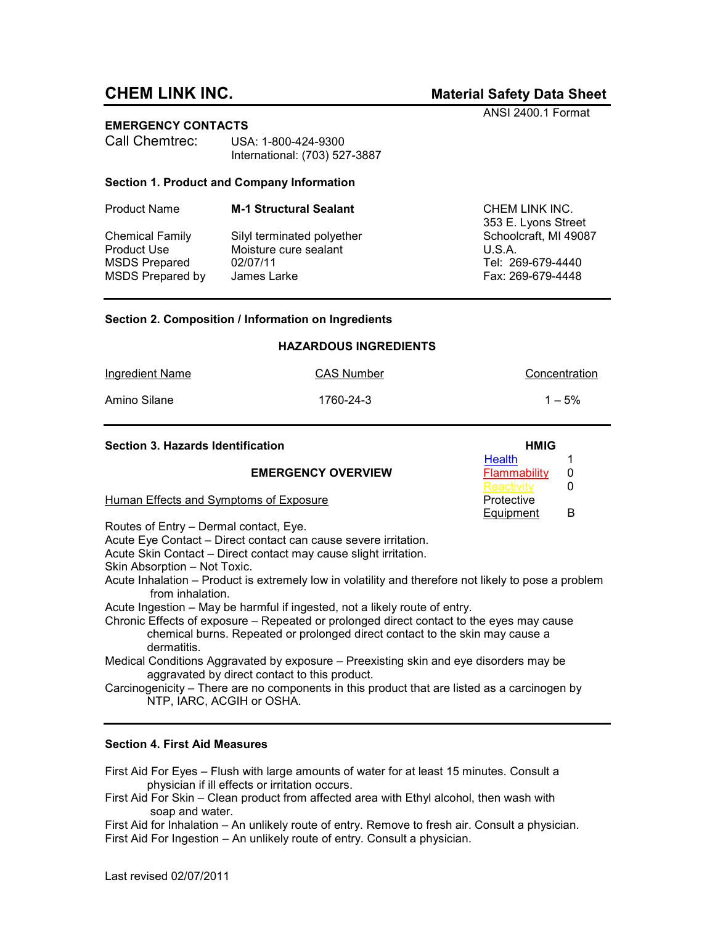# **CHEM LINK INC. Material Safety Data Sheet**

ANSI 2400.1 Format

**EMERGENCY CONTACTS** 

| Call Chemtrec: | USA: 1-800-424-9300           |  |  |
|----------------|-------------------------------|--|--|
|                | International: (703) 527-3887 |  |  |

## **Section 1. Product and Company Information**

| <b>Product Name</b>     | <b>M-1 Structural Sealant</b> | CHEM LINK INC.<br>353 E. Lyons Street |
|-------------------------|-------------------------------|---------------------------------------|
| <b>Chemical Family</b>  | Silyl terminated polyether    | Schoolcraft, MI 49087                 |
| Product Use             | Moisture cure sealant         | U.S.A.                                |
| <b>MSDS Prepared</b>    | 02/07/11                      | Tel: 269-679-4440                     |
| <b>MSDS Prepared by</b> | James Larke                   | Fax: 269-679-4448                     |
|                         |                               |                                       |

## **Section 2. Composition / Information on Ingredients**

| <b>HAZARDOUS INGREDIENTS</b> |                   |               |  |  |
|------------------------------|-------------------|---------------|--|--|
| Ingredient Name              | <b>CAS Number</b> | Concentration |  |  |
| Amino Silane                 | 1760-24-3         | $1 - 5\%$     |  |  |

| Section 3. Hazards Identification      | <b>HMIG</b>   |   |
|----------------------------------------|---------------|---|
|                                        | <b>Health</b> |   |
| <b>EMERGENCY OVERVIEW</b>              | Flammability  |   |
|                                        | Reactivity    |   |
| Human Effects and Symptoms of Exposure | Protective    |   |
|                                        | Equipment     | В |

Routes of Entry – Dermal contact, Eye.

Acute Eye Contact – Direct contact can cause severe irritation.

Acute Skin Contact – Direct contact may cause slight irritation.

Skin Absorption – Not Toxic.

Acute Inhalation – Product is extremely low in volatility and therefore not likely to pose a problem from inhalation.

Acute Ingestion – May be harmful if ingested, not a likely route of entry.

Chronic Effects of exposure – Repeated or prolonged direct contact to the eyes may cause chemical burns. Repeated or prolonged direct contact to the skin may cause a dermatitis.

- Medical Conditions Aggravated by exposure Preexisting skin and eye disorders may be aggravated by direct contact to this product.
- Carcinogenicity There are no components in this product that are listed as a carcinogen by NTP, IARC, ACGIH or OSHA.

## **Section 4. First Aid Measures**

First Aid For Eyes – Flush with large amounts of water for at least 15 minutes. Consult a physician if ill effects or irritation occurs.

First Aid For Skin – Clean product from affected area with Ethyl alcohol, then wash with soap and water.

First Aid for Inhalation – An unlikely route of entry. Remove to fresh air. Consult a physician. First Aid For Ingestion – An unlikely route of entry. Consult a physician.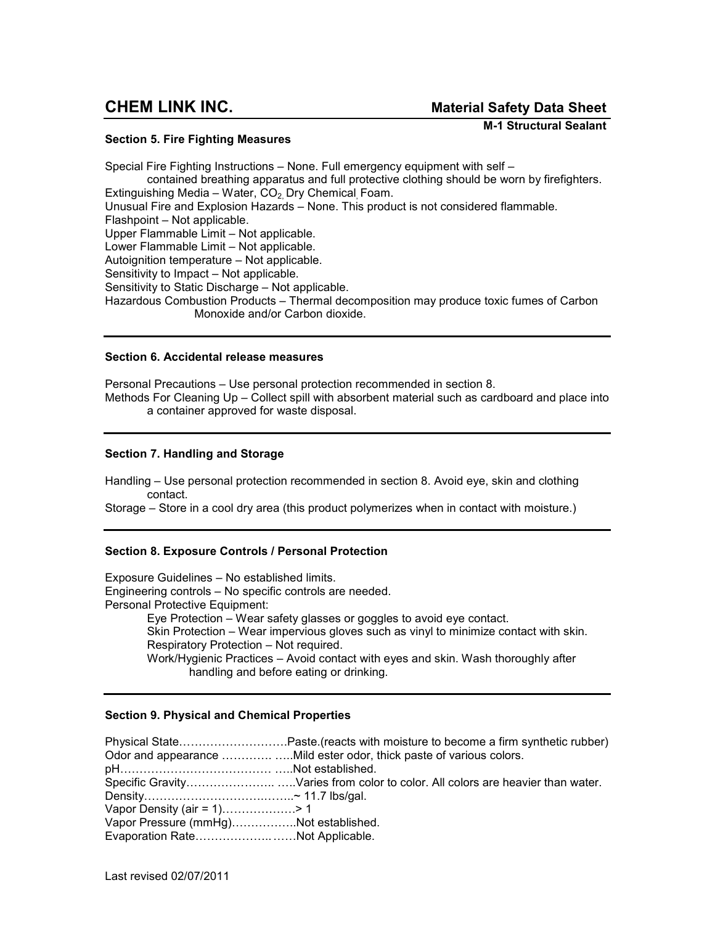**Section 5. Fire Fighting Measures** 

 **M-1 Structural Sealant** 

Special Fire Fighting Instructions – None. Full emergency equipment with self – contained breathing apparatus and full protective clothing should be worn by firefighters. Extinguishing Media – Water,  $CO<sub>2</sub>$  Dry Chemical Foam. Unusual Fire and Explosion Hazards – None. This product is not considered flammable. Flashpoint – Not applicable. Upper Flammable Limit – Not applicable. Lower Flammable Limit – Not applicable. Autoignition temperature – Not applicable. Sensitivity to Impact – Not applicable. Sensitivity to Static Discharge – Not applicable. Hazardous Combustion Products – Thermal decomposition may produce toxic fumes of Carbon Monoxide and/or Carbon dioxide.

## **Section 6. Accidental release measures**

Personal Precautions – Use personal protection recommended in section 8. Methods For Cleaning Up – Collect spill with absorbent material such as cardboard and place into a container approved for waste disposal.

# **Section 7. Handling and Storage**

Handling – Use personal protection recommended in section 8. Avoid eye, skin and clothing contact.

Storage – Store in a cool dry area (this product polymerizes when in contact with moisture.)

# **Section 8. Exposure Controls / Personal Protection**

Exposure Guidelines – No established limits. Engineering controls – No specific controls are needed. Personal Protective Equipment: Eye Protection – Wear safety glasses or goggles to avoid eye contact. Skin Protection – Wear impervious gloves such as vinyl to minimize contact with skin. Respiratory Protection – Not required. Work/Hygienic Practices – Avoid contact with eyes and skin. Wash thoroughly after handling and before eating or drinking.

## **Section 9. Physical and Chemical Properties**

Physical State...............................Paste.(reacts with moisture to become a firm synthetic rubber) Odor and appearance .....................Mild ester odor, thick paste of various colors. pHCCCCCCCCCCCCC C..Not established. Specific GravityCCCCCCC.. C..Varies from color to color. All colors are heavier than water. DensityCCCCCCCCCC.CC..~ 11.7 lbs/gal. Vapor Density (air = 1).....................> 1 Vapor Pressure (mmHg)................Not established. Evaporation Rate...........................Not Applicable.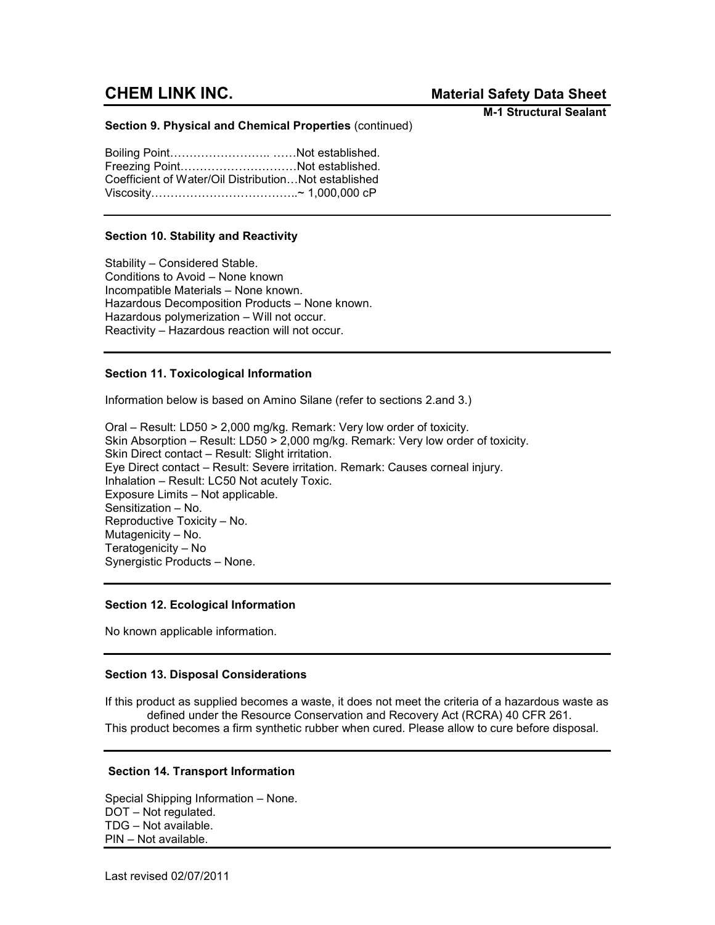# **CHEM LINK INC.** *Material Safety Data Sheet*

**M-1 Structural Sealant**

## **Section 9. Physical and Chemical Properties** (continued)

Boiling Point..................................Not established. Freezing Point..............................Not established. Coefficient of Water/Oil Distribution...Not established ViscosityCCCCCCCCCCCC..~ 1,000,000 cP

## **Section 10. Stability and Reactivity**

Stability – Considered Stable. Conditions to Avoid – None known Incompatible Materials – None known. Hazardous Decomposition Products – None known. Hazardous polymerization – Will not occur. Reactivity – Hazardous reaction will not occur.

# **Section 11. Toxicological Information**

Information below is based on Amino Silane (refer to sections 2.and 3.)

Oral – Result: LD50 > 2,000 mg/kg. Remark: Very low order of toxicity. Skin Absorption – Result: LD50 > 2,000 mg/kg. Remark: Very low order of toxicity. Skin Direct contact – Result: Slight irritation. Eye Direct contact – Result: Severe irritation. Remark: Causes corneal injury. Inhalation – Result: LC50 Not acutely Toxic. Exposure Limits – Not applicable. Sensitization – No. Reproductive Toxicity – No. Mutagenicity – No. Teratogenicity – No Synergistic Products – None.

# **Section 12. Ecological Information**

No known applicable information.

## **Section 13. Disposal Considerations**

If this product as supplied becomes a waste, it does not meet the criteria of a hazardous waste as defined under the Resource Conservation and Recovery Act (RCRA) 40 CFR 261. This product becomes a firm synthetic rubber when cured. Please allow to cure before disposal.

## **Section 14. Transport Information**

Special Shipping Information – None. DOT – Not regulated. TDG – Not available. PIN – Not available.